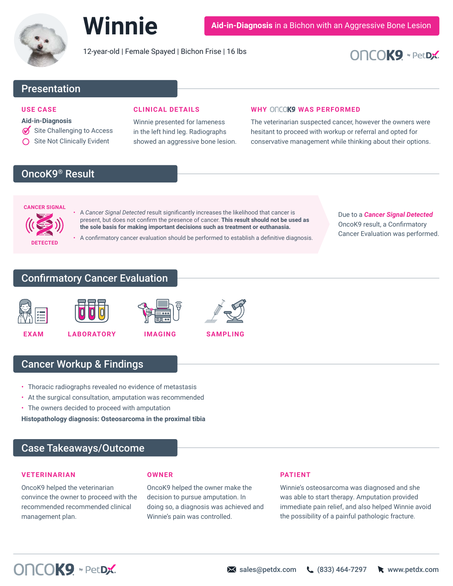

12-year-old | Female Spayed | Bichon Frise | 16 lbs

# **DNCOK9 v** PetDX

# Presentation

#### **USE CASE**

#### **Aid-in-Diagnosis**

- Site Challenging to Access
- $\bigcap$  Site Not Clinically Evident

### **CLINICAL DETAILS**

Winnie presented for lameness in the left hind leg. Radiographs showed an aggressive bone lesion.

#### **WHY ONCOK9 WAS PERFORMED**

The veterinarian suspected cancer, however the owners were hesitant to proceed with workup or referral and opted for conservative management while thinking about their options.

# OncoK9<sup>®</sup> Result

# **CANCER SIGNAL**

**DETECTED**

• A *Cancer Signal Detected* result significantly increases the likelihood that cancer is present, but does not confirm the presence of cancer. **This result should not be used as the sole basis for making important decisions such as treatment or euthanasia.**

• A confirmatory cancer evaluation should be performed to establish a definitive diagnosis.

Due to a *Cancer Signal Detected* OncoK9 result, a Confirmatory Cancer Evaluation was performed.

## Confirmatory Cancer Evaluation





**EXAM LABORATORY IMAGING**



# Cancer Workup & Findings

- Thoracic radiographs revealed no evidence of metastasis
- At the surgical consultation, amputation was recommended
- The owners decided to proceed with amputation

**Histopathology diagnosis: Osteosarcoma in the proximal tibia**

## Case Takeaways/Outcome

#### **VETERINARIAN**

OncoK9 helped the veterinarian convince the owner to proceed with the recommended recommended clinical management plan.

#### **OWNER**

OncoK9 helped the owner make the decision to pursue amputation. In doing so, a diagnosis was achieved and Winnie's pain was controlled.

#### **PATIENT**

Winnie's osteosarcoma was diagnosed and she was able to start therapy. Amputation provided immediate pain relief, and also helped Winnie avoid the possibility of a painful pathologic fracture.